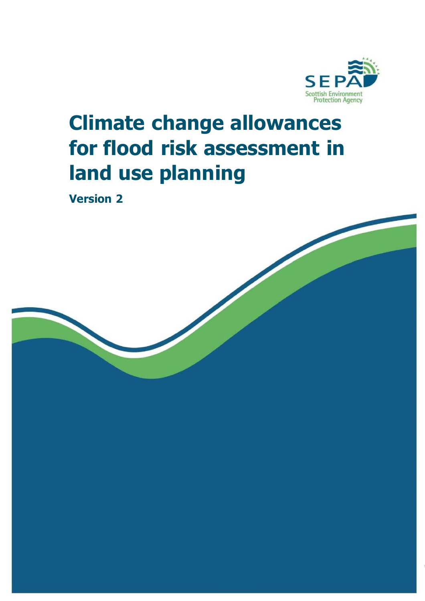

# **Climate change allowances for flood risk assessment in land use planning**

**Version 2**

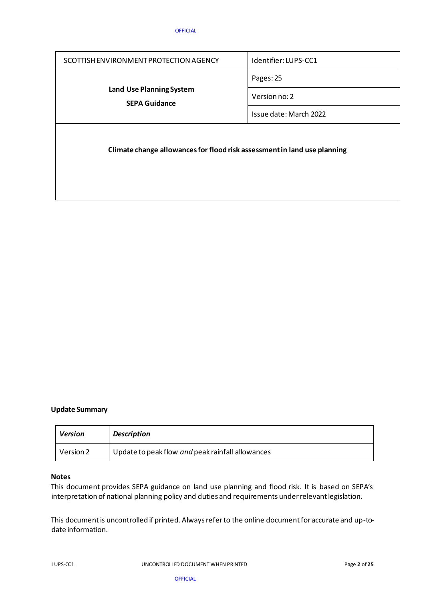| SCOTTISH ENVIRONMENT PROTECTION AGENCY                                   | Identifier: LUPS-CC1   |  |
|--------------------------------------------------------------------------|------------------------|--|
| <b>Land Use Planning System</b><br><b>SEPA Guidance</b>                  | Pages: 25              |  |
|                                                                          | Version no: 2          |  |
|                                                                          | Issue date: March 2022 |  |
| Climate change allowances for flood risk assessment in land use planning |                        |  |

#### **Update Summary**

| <b>Version</b> | <b>Description</b>                               |
|----------------|--------------------------------------------------|
| Version 2      | Update to peak flow and peak rainfall allowances |

#### **Notes**

This document provides SEPA guidance on land use planning and flood risk. It is based on SEPA's interpretation of national planning policy and duties and requirements under relevant legislation.

This document is uncontrolled if printed. Always refer to the online document for accurate and up-todate information.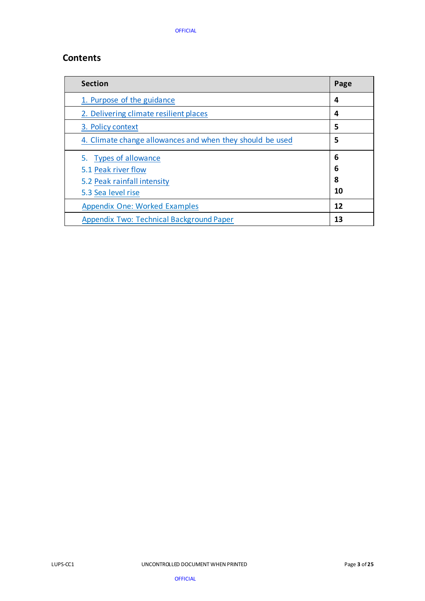# **Contents**

| <b>Section</b>                                            | Page |
|-----------------------------------------------------------|------|
| 1. Purpose of the guidance                                | 4    |
| 2. Delivering climate resilient places                    | 4    |
| 3. Policy context                                         | 5    |
| 4. Climate change allowances and when they should be used | 5    |
| 5. Types of allowance                                     | 6    |
| 5.1 Peak river flow                                       | 6    |
| 5.2 Peak rainfall intensity                               | 8    |
| 5.3 Sea level rise                                        | 10   |
| <b>Appendix One: Worked Examples</b>                      | 12   |
| Appendix Two: Technical Background Paper                  | 13   |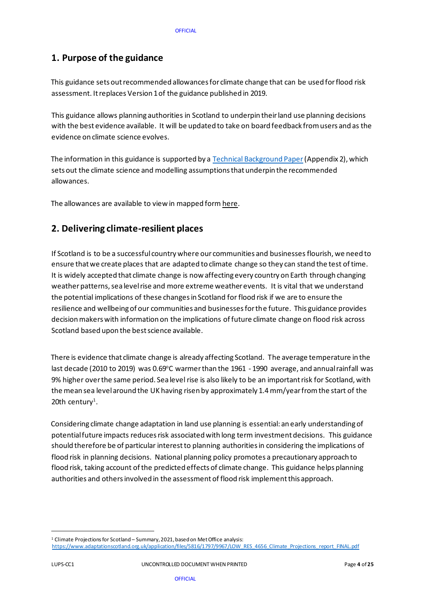# <span id="page-3-0"></span>**1. Purpose of the guidance**

This guidance sets out recommended allowances for climate change that can be used for flood risk assessment. It replaces Version 1 of the guidance published in 2019.

This guidance allows planning authorities in Scotland to underpin their land use planning decisions with the best evidence available. It will be updated to take on board feedback from users and as the evidence on climate science evolves.

The information in this guidance is supported by [a Technical Background Paper](#page-13-0) (Appendix 2), which sets out the climate science and modelling assumptions that underpin the recommended allowances.

The allowances are available to view in mapped for[m here](https://scottishepa.maps.arcgis.com/apps/webappviewer/index.html?id=2ddf84e295334f6b93bd0dbbb9ad7417)[.](https://arcg.is/14KryW0) 

# <span id="page-3-1"></span>**2. Delivering climate-resilient places**

If Scotland is to be a successful country where our communities and businesses flourish, we need to ensure that we create places that are adapted to climate change so they can stand the test of time. It is widely accepted that climate change is now affecting every country on Earth through changing weather patterns, sea level rise and more extreme weather events. It is vital that we understand the potential implications of these changes in Scotland for flood risk if we are to ensure the resilience and wellbeing of our communities and businesses for the future. This guidance provides decision makers with information on the implications of future climate change on flood risk across Scotland based upon the best science available.

There is evidence that climate change is already affecting Scotland. The average temperature in the last decade (2010 to 2019) was 0.69°C warmer than the 1961 - 1990 average, and annual rainfall was 9% higher over the same period. Sea level rise is also likely to be an important risk for Scotland, with the mean sea level around the UK having risen by approximately 1.4 mm/year from the start of the  $20$ th century<sup>1</sup>.

Considering climate change adaptation in land use planning is essential: an early understanding of potential future impacts reduces risk associated with long term investment decisions. This guidance should therefore be of particular interest to planning authorities in considering the implications of flood risk in planning decisions. National planning policy promotes a precautionary approach to flood risk, taking account of the predicted effects of climate change. This guidance helps planning authorities and others involved in the assessment of flood risk implement this approach.

<sup>&</sup>lt;sup>1</sup> Climate Projections for Scotland – Summary, 2021, based on Met Office analysis:

[https://www.adaptationscotland.org.uk/application/files/5816/1797/9967/LOW\\_RES\\_4656\\_Climate\\_Projections\\_report\\_FINAL.pdf](https://www.adaptationscotland.org.uk/application/files/5816/1797/9967/LOW_RES_4656_Climate_Projections_report_FINAL.pdf)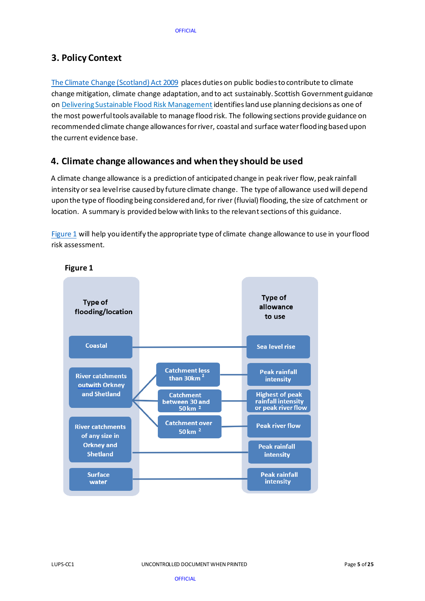# <span id="page-4-0"></span>**3. Policy Context**

[The Climate Change \(Scotland\) Act 2009](http://www.legislation.gov.uk/asp/2009/12/contents) places duties on public bodies to contribute to climate change mitigation, climate change adaptation, and to act sustainably. Scottish Government guidance on [Delivering Sustainable Flood Risk Management](https://www.gov.scot/publications/flood-risk-management-scotland-act-2009-delivering-sustainable-flood-risk-management/) identifies land use planning decisions as one of the most powerful tools available to manage flood risk. The following sections provide guidance on recommended climate change allowances for river, coastal and surface water flooding based upon the current evidence base.

# <span id="page-4-1"></span>**4. Climate change allowances and when they should be used**

A climate change allowance is a prediction of anticipated change in peak river flow, peak rainfall intensity orsea level rise caused by future climate change. The type of allowance used will depend upon the type of flooding being considered and, for river (fluvial) flooding, the size of catchment or location. A summary is provided below with links to the relevant sections of this guidance.

[Figure 1](#page-4-2) will help you identify the appropriate type of climate change allowance to use in your flood risk assessment.

<span id="page-4-2"></span>

#### **Figure 1**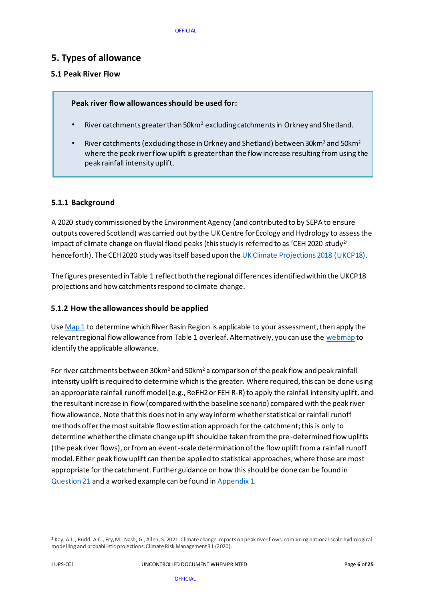### <span id="page-5-0"></span>**5. Types of allowance**

### <span id="page-5-1"></span>**5.1 Peak River Flow**

#### **Peak river flow allowances should be used for:**

- River catchments greater than 50km<sup>2</sup> excluding catchments in Orkney and Shetland.
- River catchments (excluding those in Orkney and Shetland) between 30km<sup>2</sup> and 50km<sup>2</sup> where the peak river flow uplift is greater than the flow increase resulting from using the peak rainfall intensity uplift.

#### **5.1.1 Background**

A 2020 study commissioned by the Environment Agency (and contributed to by SEPA to ensure outputs covered Scotland) was carried out by the UK Centre for Ecology and Hydrology to assessthe impact of climate change on fluvial flood peaks (this study is referred to as 'CEH 2020 <code>study $^{\scriptscriptstyle 2\prime}$ </code> henceforth). The CEH 2020 study was itself based upon th[e UK Climate Projections 2018 \(UKCP18\)](https://www.metoffice.gov.uk/research/approach/collaboration/ukcp/index).

The figures presented in Table 1 reflect both the regional differences identified within the UKCP18 projections and how catchments respond to climate change.

#### **5.1.2 How the allowances should be applied**

Us[e Map 1](#page-7-1) to determine which River Basin Region is applicable to your assessment, then apply the r[e](https://sepaweb.maps.arcgis.com/apps/webappviewer/index.html?id=a01f82dbc66145f4a4b558d7b840f51a&extent=-2086266.4068%2C6926044.231%2C1044594.2717%2C9056497.0833%2C102100)levant regional flow allowance from Table 1 overleaf. Alternatively, you can use the [webmap](https://scottishepa.maps.arcgis.com/apps/webappviewer/index.html?id=2ddf84e295334f6b93bd0dbbb9ad7417) to identify the applicable allowance.

For river catchments between 30km<sup>2</sup> and 50km<sup>2</sup> a comparison of the peak flow and peak rainfall intensity uplift is required to determine which is the greater. Where required, this can be done using an appropriate rainfall runoff model (e.g., ReFH2 or FEH R-R) to apply the rainfall intensity uplift, and the resultant increase in flow (compared with the baseline scenario) compared with the peak river flow allowance. Note that this does not in any way inform whether statistical or rainfall runoff methods offer the most suitable flow estimation approach for the catchment;this is only to determine whether the climate change uplift should be taken from the pre-determined flow uplifts (the peak river flows), or from an event-scale determination of the flow uplift from a rainfall runoff model. Either peak flow uplift can then be applied to statistical approaches, where those are most appropriate for the catchment. Further guidance on how this should be done can be found in [Question 21](#page-23-0) and a worked example can be found i[n Appendix 1.](#page-12-0)

<sup>2</sup> Kay, A.L., Rudd, A.C., Fry, M., Nash, G., Allen, S. 2021. Climate change impacts on peak river flows: combining national-scale hydrological modelling and probabilistic projections. Climate Risk Management 31 (2020).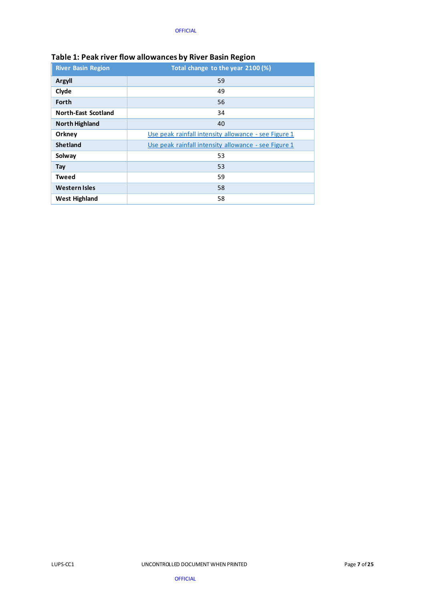| <u>awic 2. . Can in ci no h ano hanced wy niver basin neglon</u> |                                                      |  |  |
|------------------------------------------------------------------|------------------------------------------------------|--|--|
| <b>River Basin Region</b>                                        | Total change to the year 2100 (%)                    |  |  |
| <b>Argyll</b>                                                    | 59                                                   |  |  |
| Clyde                                                            | 49                                                   |  |  |
| Forth                                                            | 56                                                   |  |  |
| <b>North-East Scotland</b>                                       | 34                                                   |  |  |
| <b>North Highland</b>                                            | 40                                                   |  |  |
| Orkney                                                           | Use peak rainfall intensity allowance - see Figure 1 |  |  |
| <b>Shetland</b>                                                  | Use peak rainfall intensity allowance - see Figure 1 |  |  |
| Solway                                                           | 53                                                   |  |  |
| Tay                                                              | 53                                                   |  |  |
| <b>Tweed</b>                                                     | 59                                                   |  |  |
| <b>Western Isles</b>                                             | 58                                                   |  |  |
| <b>West Highland</b>                                             | 58                                                   |  |  |

### **Table 1: Peak river flow allowances by River Basin Region**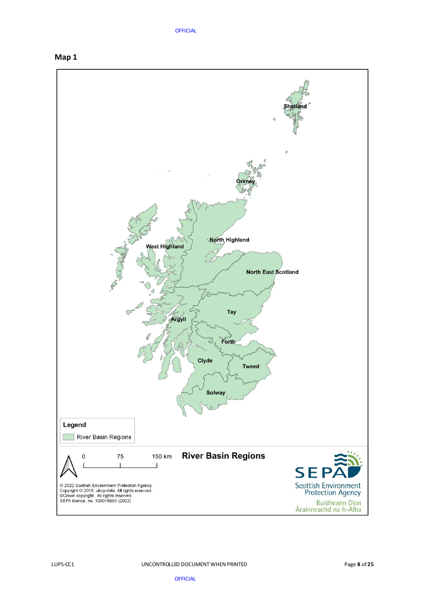<span id="page-7-1"></span><span id="page-7-0"></span>

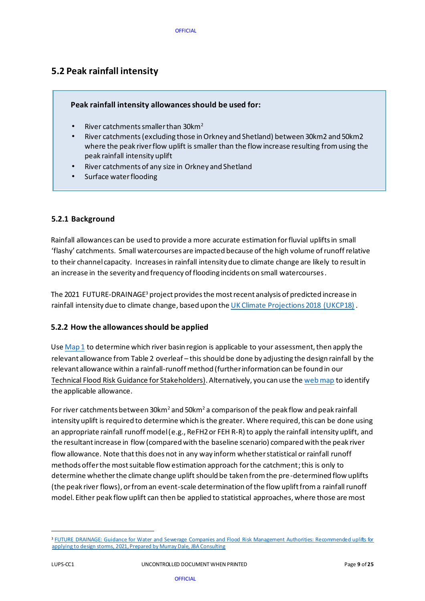# **5.2 Peak rainfall intensity**

### **Peak rainfall intensity allowances should be used for:**

- River catchments smaller than 30km<sup>2</sup>
- River catchments (excluding those in Orkney and Shetland) between 30km2 and 50km2 where the peak river flow uplift is smaller than the flow increase resulting from using the peak rainfall intensity uplift
- River catchments of any size in Orkney and Shetland
- Surface water flooding

#### **5.2.1 Background**

Rainfall allowances can be used to provide a more accurate estimation for fluvial uplifts in small 'flashy' catchments. Small watercourses are impacted because of the high volume of runoff relative to their channel capacity. Increases in rainfall intensity due to climate change are likely to result in an increase in the severity and frequency of flooding incidents on small watercourses.

The 2021 FUTURE-DRAINAGE<sup>3</sup> project provides the most recent analysis of predicted increase in rainfall intensity due to climate change, based upon the [UK Climate Projections 2018 \(UKCP18\)](https://www.metoffice.gov.uk/research/approach/collaboration/ukcp/index) .

### **5.2.2 How the allowances should be applied**

Use  $Map_1$  to determine which river basin region is applicable to your assessment, then apply the relevant allowance from Table 2 overleaf – this should be done by adjusting the design rainfall by the relevant allowance within a rainfall-runoff method (further information can be found in our [Technical Flood Risk Guidance for Stakeholders\)](https://www.sepa.org.uk/media/162602/ss-nfr-p-002-technical-flood-risk-guidance-for-stakeholders.pdf). Alternatively, you can use th[e web map](https://scottishepa.maps.arcgis.com/apps/webappviewer/index.html?id=2ddf84e295334f6b93bd0dbbb9ad7417) [to iden](https://scottishepa.maps.arcgis.com/apps/webappviewer/index.html?id=2ddf84e295334f6b93bd0dbbb9ad7417)tify the applicable allowance.

For river catchments between 30km<sup>2</sup> and 50km<sup>2</sup> a comparison of the peak flow and peak rainfall intensity uplift is required to determine which is the greater. Where required, this can be done using an appropriate rainfall runoff model (e.g., ReFH2 or FEH R-R) to apply the rainfall intensity uplift, and the resultant increase in flow (compared with the baseline scenario) compared with the peak river flow allowance. Note that this does not in any way inform whether statistical or rainfall runoff methods offer the most suitable flow estimation approach for the catchment; this is only to determine whether the climate change uplift should be taken from the pre-determined flow uplifts (the peak river flows), or from an event-scale determination of the flow uplift from a rainfall runoff model. Either peak flow uplift can then be applied to statistical approaches, where those are most

<sup>&</sup>lt;sup>3</sup> FUTURE DRAINAGE: Guidance for Water and Sewerage Companies and Flood Risk Management Authorities: Recommended uplifts for applying to design storms, [2021, Prepared by Murray Dale, JBA Consulting](https://artefacts.ceda.ac.uk/badc_datadocs/future-drainage/FUTURE_DRAINAGE_Guidance_for_applying_rainfall_uplifts.pdf)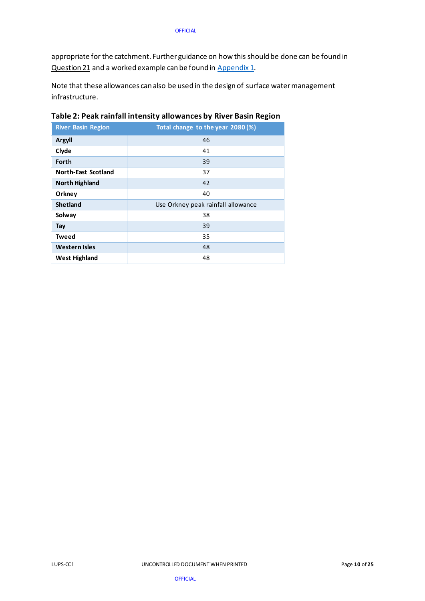appropriate for the catchment. Further guidance on how this should be done can be found in [Question](#page-23-0) 21 and a worked example can be found i[n Appendix 1.](#page-12-0)

Note that these allowances can also be used in the design of surface water management infrastructure.

| <b>River Basin Region</b>  | Total change to the year 2080 (%)  |
|----------------------------|------------------------------------|
| Argyll                     | 46                                 |
| Clyde                      | 41                                 |
| Forth                      | 39                                 |
| <b>North-East Scotland</b> | 37                                 |
| <b>North Highland</b>      | 42                                 |
| Orkney                     | 40                                 |
| <b>Shetland</b>            | Use Orkney peak rainfall allowance |
| Solway                     | 38                                 |
| Tay                        | 39                                 |
| <b>Tweed</b>               | 35                                 |
| <b>Western Isles</b>       | 48                                 |
| West Highland              | 48                                 |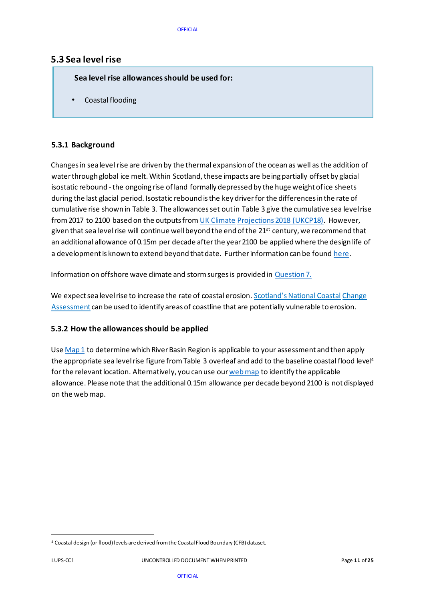### <span id="page-10-0"></span>**5.3 Sea level rise**

 **Sea level rise allowances should be used for:** 

• Coastal flooding

### **5.3.1 Background**

Changes in sea level rise are driven by the thermal expansion of the ocean as well as the addition of water through global ice melt. Within Scotland, these impacts are being partially offset by glacial isostatic rebound - the ongoing rise of land formally depressed by the huge weight of ice sheets during the last glacial period. Isostatic rebound is the key driver for the differences in the rate of cumulative rise shown in Table 3. The allowances set out in Table 3 give the cumulative sea level rise from 2017 to 2100 based on the outputs fro[m UK](https://www.metoffice.gov.uk/research/collaboration/ukcp) [Climate](https://www.metoffice.gov.uk/research/collaboration/ukcp) [Projections 2018](https://www.metoffice.gov.uk/research/collaboration/ukcp) [\(UKCP18\).](https://www.metoffice.gov.uk/research/collaboration/ukcp) However, given that sea level rise will continue well beyond the end of the 21<sup>st</sup> century, we recommend that an additional allowance of 0.15m per decade after the year 2100 be applied where the design life of a development is known to extend beyond that date. Further information can be foun[d here](#page-17-0).

Information on offshore wave climate and storm surges is provided in [Question 7.](#page-17-1)

We expect sea level rise to increase the rate of coastal erosion. [Scotland's National Coastal](http://www.dynamiccoast.com/) Change [Assessment](http://www.dynamiccoast.com/) can be used to identify areas of coastline that are potentially vulnerable to erosion.

#### **5.3.2 How the allowances should be applied**

Us[e Map 1](#page-7-1) to determine which River Basin Region is applicable to your assessment and then apply the appropriate sea level rise figure from Table 3 overleaf and add to the baseline coastal flood level<sup>4</sup> for the relevant location. Alternatively, you can use ou[r web map](https://scottishepa.maps.arcgis.com/apps/webappviewer/index.html?id=2ddf84e295334f6b93bd0dbbb9ad7417) to identify the applicable allowance. Please note that the additional 0.15m allowance per decade beyond 2100 is not displayed on the web map.

<sup>4</sup> Coastal design (or flood) levels are derived from the Coastal Flood Boundary (CFB) dataset.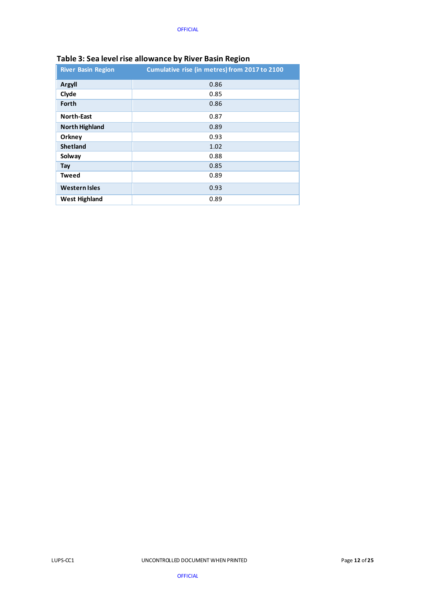|                           | .                                             |
|---------------------------|-----------------------------------------------|
| <b>River Basin Region</b> | Cumulative rise (in metres) from 2017 to 2100 |
| <b>Argyll</b>             | 0.86                                          |
| Clyde                     | 0.85                                          |
| Forth                     | 0.86                                          |
| <b>North-East</b>         | 0.87                                          |
| <b>North Highland</b>     | 0.89                                          |
| Orkney                    | 0.93                                          |
| <b>Shetland</b>           | 1.02                                          |
| Solway                    | 0.88                                          |
| Tay                       | 0.85                                          |
| <b>Tweed</b>              | 0.89                                          |
| <b>Western Isles</b>      | 0.93                                          |
| <b>West Highland</b>      | 0.89                                          |

### **Table 3: Sea level rise allowance by River Basin Region**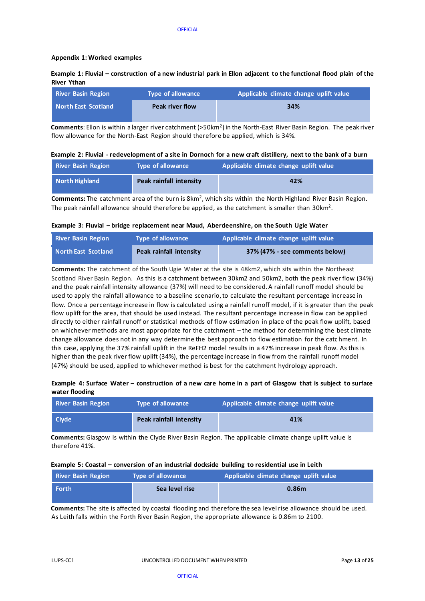#### <span id="page-12-0"></span>**Appendix 1: Worked examples**

#### **Example 1: Fluvial – construction of a new industrial park in Ellon adjacent to the functional flood plain of the River Ythan**

| <b>River Basin Region</b> | Type of allowance      | Applicable climate change uplift value |
|---------------------------|------------------------|----------------------------------------|
| North East Scotland       | <b>Peak river flow</b> | 34%                                    |

**Comments**: Ellon is within a larger river catchment (>50km<sup>2</sup> ) in the North-East River Basin Region. The peak river flow allowance for the North-East Region should therefore be applied, which is 34%.

#### **Example 2: Fluvial - redevelopment of a site in Dornoch for a new craft distillery, next to the bank of a burn**

| <b>River Basin Region</b> | <b>Type of allowance</b> | Applicable climate change uplift value |
|---------------------------|--------------------------|----------------------------------------|
| North Highland            | Peak rainfall intensity  | 42%                                    |

**Comments:** The catchment area of the burn is 8km<sup>2</sup>, which sits within the North Highland River Basin Region. The peak rainfall allowance should therefore be applied, as the catchment is smaller than  $30 \text{km}^2$ .

#### **Example 3: Fluvial – bridge replacement near Maud, Aberdeenshire, on the South Ugie Water**

| <b>River Basin Region</b> | <b>Type of allowance</b> | Applicable climate change uplift value |
|---------------------------|--------------------------|----------------------------------------|
| North East Scotland       | Peak rainfall intensity  | 37% (47% - see comments below)         |

**Comments:** The catchment of the South Ugie Water at the site is 48km2, which sits within the Northeast Scotland River Basin Region. As this is a catchment between 30km2 and 50km2, both the peak river flow (34%) and the peak rainfall intensity allowance (37%) will need to be considered. A rainfall runoff model should be used to apply the rainfall allowance to a baseline scenario, to calculate the resultant percentage increase in flow. Once a percentage increase in flow is calculated using a rainfall runoff model, if it is greater than the peak flow uplift for the area, that should be used instead. The resultant percentage increase in flow can be applied directly to either rainfall runoff or statistical methods of flow estimation in place of the peak flow uplift, based on whichever methods are most appropriate for the catchment – the method for determining the best climate change allowance does not in any way determine the best approach to flow estimation for the catc hment. In this case, applying the 37% rainfall uplift in the ReFH2 model results in a 47% increase in peak flow. As this is higher than the peak river flow uplift (34%), the percentage increase in flow from the rainfall runoff model (47%) should be used, applied to whichever method is best for the catchment hydrology approach.

#### **Example 4: Surface Water – construction of a new care home in a part of Glasgow that is subject to surface water flooding**

| <b>River Basin Region</b> | <b>Type of allowance</b> | Applicable climate change uplift value |
|---------------------------|--------------------------|----------------------------------------|
| <b>Clvde</b>              | Peak rainfall intensity  | 41%                                    |

**Comments:** Glasgow is within the Clyde River Basin Region. The applicable climate change uplift value is therefore 41%.

#### **Example 5: Coastal – conversion of an industrial dockside building to residential use in Leith**

| <b>River Basin Region</b> | <b>Type of allowance</b> | Applicable climate change uplift value |
|---------------------------|--------------------------|----------------------------------------|
| Forth                     | Sea level rise           | 0.86 <sub>m</sub>                      |

**Comments:** The site is affected by coastal flooding and therefore the sea level rise allowance should be used. As Leith falls within the Forth River Basin Region, the appropriate allowance is 0.86m to 2100.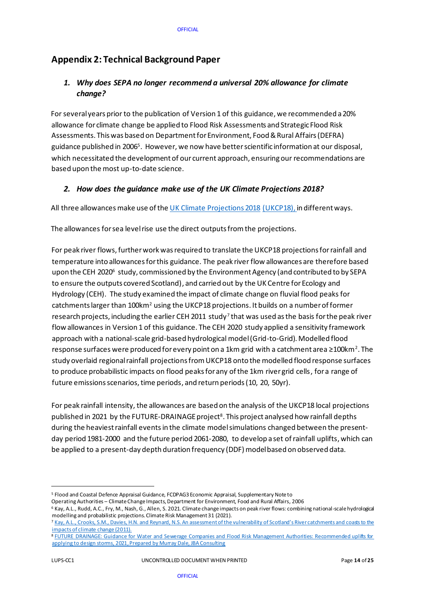# <span id="page-13-0"></span>**Appendix 2: Technical Background Paper**

### <span id="page-13-1"></span>*1. Why does SEPA no longer recommend a universal 20% allowance for climate change?*

For severalyears prior to the publication of Version 1 of this guidance, we recommended a 20% allowance for climate change be applied to Flood Risk Assessments and Strategic Flood Risk Assessments. This was based on Department for Environment, Food & Rural Affairs (DEFRA) guidance published in 2006<sup>5</sup>. However, we now have better scientific information at our disposal, which necessitated the development of our current approach, ensuringour recommendations are based upon the most up-to-date science.

### *2. How does the guidance make use of the UK Climate Projections 2018?*

All three allowances make use of the [UK Climate Projections 2018](https://www.metoffice.gov.uk/research/collaboration/ukcp) [\(UKCP18\),](https://www.metoffice.gov.uk/research/collaboration/ukcp) in different ways.

The allowances for sea level rise use the direct outputs fromthe projections[.](https://www.metoffice.gov.uk/research/collaboration/ukcp) 

For peak river flows, further work was required to translate the UKCP18 projections for rainfall and temperature into allowances for this guidance. The peak river flow allowances are therefore based upon the CEH 2020 $^{\rm 6}$  study, commissioned by the Environment Agency (and contributed to by SEPA to ensure the outputs covered Scotland), and carried out by the UK Centre for Ecology and Hydrology (CEH). The study examined the impact of climate change on fluvial flood peaksfor catchments larger than 100km<sup>2</sup> using the UKCP18 projections. It builds on a number of former research projects, including the earlier CEH 2011  $\,$ study $^{7}$ that was used as the basis for the peak river flow allowances in Version 1 of this guidance. The CEH 2020 study applied a sensitivity framework approach with a national-scale grid-based hydrological model (Grid-to-Grid). Modelled flood response surfaces were produced for every point on a 1km grid with a catchment area ≥100km $^{\text{2}}$ . The study overlaid regional rainfall projections from UKCP18 onto the modelled flood response surfaces to produce probabilistic impacts on flood peaks for any of the 1km river grid cells, for a range of future emissions scenarios, time periods, and return periods (10, 20, 50yr).

For peak rainfall intensity, the allowances are based on the analysis of the UKCP18 local projections published in 2021 by the FUTURE-DRAINAGE project<sup>8</sup>. This project analysed how rainfall depths during the heaviest rainfall events in the climate model simulations changed between the presentday period 1981-2000 and the future period 2061-2080, to develop a set of rainfall uplifts, which can be applied to a present-day depth duration frequency (DDF) model based on observed data.

<sup>5</sup> [Flood and Coastal Defence Appraisal Guidance, FCDPAG3 Economic Appraisal, Supplementary Note to](http://www.sdcg.org.uk/Climate-change-update.pdf) 

[Operating Authorities](http://www.sdcg.org.uk/Climate-change-update.pdf) – [Climate Change Impacts, Department for Environment, Food and Rural Affairs,](http://www.sdcg.org.uk/Climate-change-update.pdf) 2006

<sup>6</sup> Kay, A.L., Rudd, A.C., Fry, M., Nash, G., Allen, S. 2021. Climate change impacts on peak river flows: combining national-scale hydrological modelling and probabilistic projections. Climate Risk Management 31 (2021).

<sup>7</sup> [Kay, A.L., Crooks, S.M., Davies, H.N. and Reynard, N.S. An assessment of the vulnerability of](https://www.sepa.org.uk/media/219493/ceh_report_final_sepa.pdf) Scotland's River catchments and coasts to the [impacts of climate change](https://www.sepa.org.uk/media/219493/ceh_report_final_sepa.pdf) (2011).

<sup>8</sup> FUTURE DRAINAGE: Guidance for Water and Sewerage Companies and Flood Risk Management Authorities: Recommended uplifts for [applying to design storms, 2021, Prepared by Murray Dale, JBA Consulting](https://artefacts.ceda.ac.uk/badc_datadocs/future-drainage/FUTURE_DRAINAGE_Guidance_for_applying_rainfall_uplifts.pdf)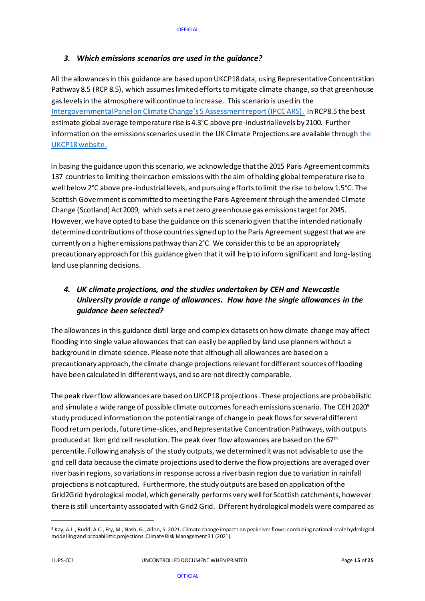### <span id="page-14-0"></span>*3. Which emissions scenarios are used in the guidance?*

All the allowancesin this guidance are based upon UKCP18 data, using Representative Concentration Pathway 8.5 (RCP 8.5), which assumes limited efforts to mitigate climate change, so that greenhouse gas levels in the atmosphere will continue to increase. This scenario is used in the [Intergovernmental Panel on](https://www.ipcc.ch/assessment-report/ar5/) [Climate Change's 5](https://www.ipcc.ch/assessment-report/ar5/) Assessment report(IPCC AR5). In RCP8.5 the best estimate global average temperature rise is 4.3°C above pre-industrial levels by 2100. Further information on the emissions scenarios used in the UK Climate Projections are available throug[h the](https://www.metoffice.gov.uk/research/collaboration/ukcp)  [UKCP18 website.](https://www.metoffice.gov.uk/research/collaboration/ukcp)

In basing the guidance upon this scenario, we acknowledge that the 2015 Paris Agreement commits 137 countries to limiting their carbon emissions with the aim of holding global temperature rise to well below 2°C above pre-industrial levels, and pursuing efforts to limit the rise to below 1.5°C. The Scottish Government is committed to meeting the Paris Agreement through the amended Climate Change (Scotland) Act 2009, which sets a net zero greenhouse gas emissions target for 2045. However, we have opted to base the guidance on this scenario given that the intended nationally determined contributions of those countries signed up to the Paris Agreement suggest that we are currently on a higher emissions pathway than 2°C. We consider this to be an appropriately precautionary approach for this guidance given that it will help to inform significant and long-lasting land use planning decisions.

### *4. UK climate projections, and the studies undertaken by CEH and Newcastle University provide a range of allowances. How have the single allowances in the guidance been selected?*

The allowances in this guidance distil large and complex datasets on how climate change may affect flooding into single value allowances that can easily be applied by land use planners without a background in climate science. Please note that although all allowances are based on a precautionary approach, the climate change projections relevant for different sources of flooding have been calculated in different ways, and so are not directly comparable.

The peak river flow allowances are based on UKCP18 projections. These projections are probabilistic and simulate a wide range of possible climate outcomes for each emissions scenario. The CEH 2020<sup>9</sup> study produced information on the potential range of change in peak flows for severaldifferent flood return periods, future time-slices, and Representative Concentration Pathways, with outputs produced at 1km grid cell resolution. The peak river flow allowances are based on the 67<sup>th</sup> percentile. Following analysis of the study outputs, we determined it was not advisable to use the grid cell data because the climate projections used to derive the flow projections are averaged over river basin regions, so variations in response across a river basin region due to variation in rainfall projections is not captured. Furthermore, the study outputs are based on application of the Grid2Grid hydrological model, which generally performs very well for Scottish catchments, however there is still uncertainty associated with Grid2 Grid. Different hydrological models were compared as

<sup>9</sup> Kay, A.L., Rudd, A.C., Fry, M., Nash, G., Allen, S. 2021. Climate change impacts on peak river flows: combining national-scale hydrological modelling and probabilistic projections. Climate Risk Management 31 (2021).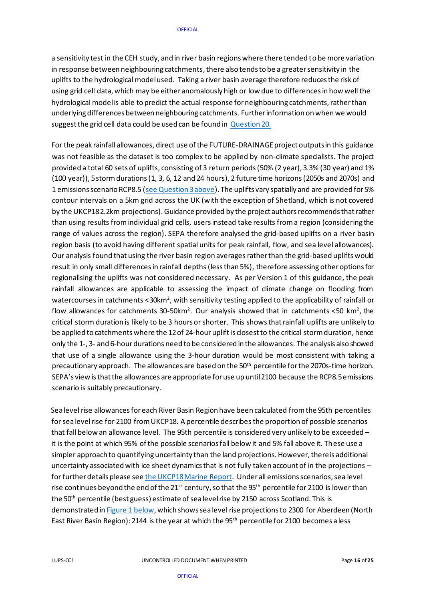a sensitivity test in the CEH study, and in river basin regions where there tended to be more variation in response between neighbouring catchments, there also tends to be a greater sensitivity in the uplifts to the hydrological model used. Taking a river basin average therefore reduces the risk of using grid cell data, which may be either anomalously high or low due to differences in how well the hydrological model is able to predict the actual response for neighbouring catchments, rather than underlying differences between neighbouring catchments. Further information on when we would suggest the grid cell data could be used can be found in [Question 20.](#page-23-1)

For the peak rainfall allowances, direct use of the FUTURE-DRAINAGE project outputs in this guidance was not feasible as the dataset is too complex to be applied by non-climate specialists. The project provided a total 60 sets of uplifts, consisting of 3 return periods (50% (2 year), 3.3% (30 year) and 1% (100 year)), 5 storm durations (1, 3, 6, 12 and 24 hours), 2 future time horizons (2050s and 2070s) and 1 emissions scenario RCP8.5 [\(see Question 3 above](#page-14-0)). The uplifts vary spatially and are provided for 5% contour intervals on a 5km grid across the UK (with the exception of Shetland, which is not covered by the UKCP18 2.2km projections). Guidance provided by the project authorsrecommends that rather than using results from individual grid cells, usersinstead take results from a region (considering the range of values across the region). SEPA therefore analysed the grid-based uplifts on a river basin region basis (to avoid having different spatial units for peak rainfall, flow, and sea level allowances). Our analysis found that using the river basin region averages rather than the grid-based uplifts would result in only small differences in rainfall depths (less than 5%), therefore assessing other options for regionalising the uplifts was not considered necessary. As per Version 1 of this guidance, the peak rainfall allowances are applicable to assessing the impact of climate change on flooding from watercourses in catchments <30km $^{\rm 2}$ , with sensitivity testing applied to the applicability of rainfall or flow allowances for catchments 30-50km<sup>2</sup>. Our analysis showed that in catchments <50 km<sup>2</sup>, the critical storm duration is likely to be 3 hours or shorter. This shows that rainfall uplifts are unlikely to be applied to catchments where the 12 of 24-hour uplift is closest to the critical storm duration, hence only the 1-, 3- and 6-hourdurations need to be considered in the allowances. The analysis also showed that use of a single allowance using the 3-hour duration would be most consistent with taking a precautionary approach. The allowances are based on the 50<sup>th</sup> percentile for the 2070s-time horizon. SEPA's view is that the allowances are appropriate for use up until 2100 because the RCP8.5 emissions scenario is suitably precautionary.

Sea level rise allowances for each River Basin Region have been calculated from the 95th percentiles for sea level rise for 2100 from UKCP18. A percentile describes the proportion of possible scenarios that fall below an allowance level. The 95th percentile is considered very unlikely to be exceeded – it is the point at which 95% of the possible scenarios fall below it and 5% fall above it. These use a simpler approach to quantifying uncertainty than the land projections. However, there is additional uncertainty associated with ice sheet dynamics that is not fully taken account of in the projections – for further details please se[e the UKCP18Marine Report.](https://www.metoffice.gov.uk/pub/data/weather/uk/ukcp18/science-reports/UKCP18-Marine-report.pdf) Under all emissions scenarios, sea level rise continues beyond the end of the 21<sup>st</sup> century, so that the 95<sup>th</sup> percentile for 2100 is lower than the 50<sup>th</sup> percentile (best guess) estimate of sea level rise by 2150 across Scotland. This is demonstrated i[n Figure 1 below,](#page-4-2) which shows sea level rise projections to 2300 for Aberdeen (North East River Basin Region): 2144 is the year at which the 95<sup>th</sup> percentile for 2100 becomes a less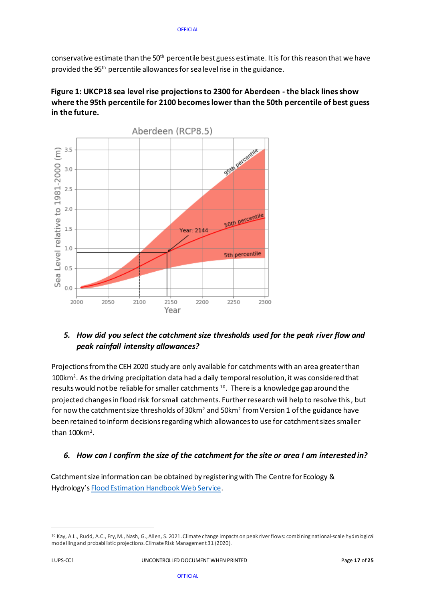conservative estimate than the 50<sup>th</sup> percentile best guess estimate. It is for this reason that we have provided the 95<sup>th</sup> percentile allowances for sea level rise in the guidance.

### **Figure 1: UKCP18 sea level rise projections to 2300 for Aberdeen - the black lines show where the 95th percentile for 2100 becomes lower than the 50th percentile of best guess in the future.**



# *5. How did you select the catchment size thresholds used for the peak river flow and peak rainfall intensity allowances?*

Projections from the CEH 2020 study are only available for catchments with an area greater than  $100$ km<sup>2</sup>. As the driving precipitation data had a daily temporal resolution, it was considered that results would not be reliable for smaller catchments  $^{10}$ . There is a knowledge gap around the projected changes in flood risk for small catchments. Further research will help to resolve this, but for now the catchment size thresholds of 30km $^{\rm 2}$  and 50km $^{\rm 2}$  from Version 1 of the guidance have been retained to inform decisions regarding which allowances to use for catchment sizes smaller than  $100$ km<sup>2</sup>.

### *6. How can I confirm the size of the catchment for the site or area I am interested in?*

Catchment size information can be obtained by registering with The Centre for Ecology & Hydrology'[s](https://fehweb.ceh.ac.uk/) [Flood Estimation Handbook Web](https://fehweb.ceh.ac.uk/) [Service.](https://fehweb.ceh.ac.uk/) 

<sup>10</sup> Kay, A.L., Rudd, A.C., Fry, M., Nash, G., Allen, S. 2021. Climate change impacts on peak river flows: combining national-scale hydrological modelling and probabilistic projections. Climate Risk Management 31 (2020).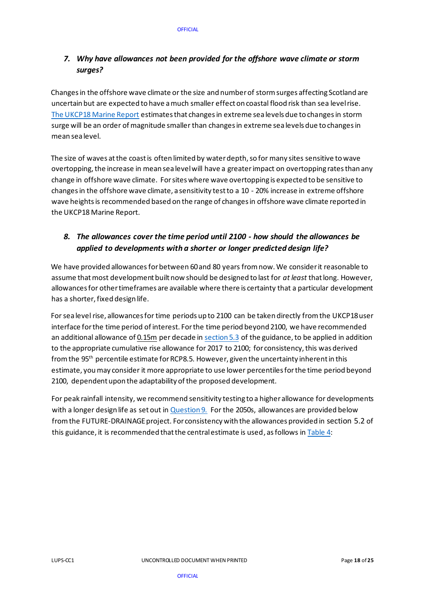### <span id="page-17-1"></span>*7. Why have allowances not been provided for the offshore wave climate or storm surges?*

Changes in the offshore wave climate or the size and number of storm surges affecting Scotland are uncertain but are expected to have a much smaller effect on coastal flood risk than sea level rise. [The UKCP18 Marine Report](https://www.metoffice.gov.uk/pub/data/weather/uk/ukcp18/science-reports/UKCP18-Marine-report.pdf) estimates that changes in extreme sea levels due to changes in storm surge will be an order of magnitude smaller than changes in extreme sea levels due to changes in mean sea level.

The size of waves at the coast is often limited by water depth, so for many sites sensitive to wave overtopping, the increase in mean sea level will have a greater impact on overtopping rates than any change in offshore wave climate. For sites where wave overtopping is expected to be sensitive to changes in the offshore wave climate, a sensitivity test to a 10 - 20% increase in extreme offshore wave heights is recommended based on the range of changes in offshore wave climate reported in the UKCP18 Marine Report.

# *8. The allowances cover the time period until 2100 - how should the allowances be applied to developments with a shorter or longer predicted design life?*

We have provided allowances for between 60 and 80 years from now. We consider it reasonable to assume that most development built now should be designed to last for *at least* that long. However, allowances for other timeframes are available where there is certainty that a particular development has a shorter, fixed design life.

<span id="page-17-0"></span>For sea level rise, allowances for time periods up to 2100 can be taken directly from the UKCP18 user interface for the time period of interest. For the time period beyond 2100, we have recommended an additional allowance of 0.15m per decade i[n section 5.3](#page-10-0) of the guidance, to be applied in addition to the appropriate cumulative rise allowance for 2017 to 2100; for consistency, this was derived from the 95th percentile estimate for RCP8.5. However, given the uncertainty inherent in this estimate, you may consider it more appropriate to use lower percentiles for the time period beyond 2100, dependent upon the adaptability of the proposed development.

For peak rainfall intensity, we recommend sensitivity testing to a higher allowance for developments with a longer design life as set out i[n Question 9.](#page-18-0) For the 2050s, allowances are provided below from the FUTURE-DRAINAGE project. For consistency with the allowances provided in [section 5.2](#page-7-0) of this guidance, it is recommended that the central estimate is used, as follows i[n Table 4:](#page-18-1)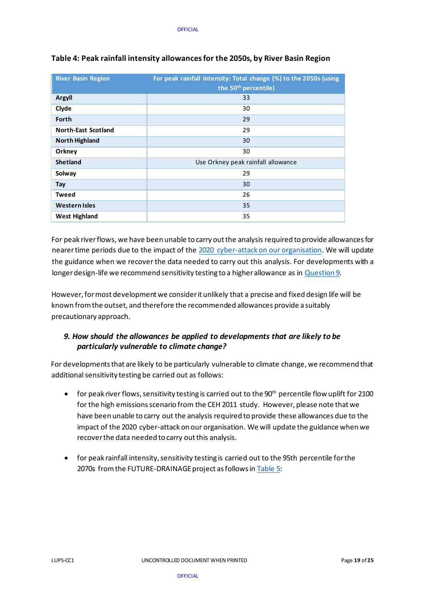| <b>River Basin Region</b>  | For peak rainfall intensity: Total change (%) to the 2050s (using<br>the 50 <sup>th</sup> percentile) |
|----------------------------|-------------------------------------------------------------------------------------------------------|
| <b>Argyll</b>              | 33                                                                                                    |
| Clyde                      | 30                                                                                                    |
| Forth                      | 29                                                                                                    |
| <b>North-East Scotland</b> | 29                                                                                                    |
| <b>North Highland</b>      | 30                                                                                                    |
| Orkney                     | 30                                                                                                    |
| <b>Shetland</b>            | Use Orkney peak rainfall allowance                                                                    |
| Solway                     | 29                                                                                                    |
| Tay                        | 30                                                                                                    |
| <b>Tweed</b>               | 26                                                                                                    |
| <b>Western Isles</b>       | 35                                                                                                    |
| <b>West Highland</b>       | 35                                                                                                    |

### <span id="page-18-1"></span>**Table 4: Peak rainfall intensity allowances for the 2050s, by River Basin Region**

For peak river flows, we have been unable to carry out the analysis required to provide allowances for nearer time periods due to the impact of the 2020 cyber-attack [on our organisation.](https://www.sepa.org.uk/about-us/cyber-attack/) We will update the guidance when we recover the data needed to carry out this analysis. For developments with a longer design-life we recommend sensitivity testing to a higher allowance as i[n Question 9.](#page-18-0)

However, for most development we consider it unlikely that a precise and fixed design life will be known from the outset, and therefore the recommended allowances provide a suitably precautionary approach.

### <span id="page-18-0"></span>*9. How should the allowances be applied to developments that are likely to be particularly vulnerable to climate change?*

For developments that are likely to be particularly vulnerable to climate change, we recommend that additional sensitivity testing be carried out as follows:

- for peak river flows, sensitivity testing is carried out to the 90<sup>th</sup> percentile flow uplift for 2100 for the high emissions scenario from the CEH 2011 study. However, please note that we have been unable to carry out the analysis required to provide these allowances due to the impact of th[e 2020 cyber-attack on our organisation.](https://www.sepa.org.uk/about-us/cyber-attack/) We will update the guidance when we recover the data needed to carry out this analysis.
- for peak rainfall intensity, sensitivity testing is carried out to the 95th percentile for the 2070s from the FUTURE-DRAINAGE project as followsi[n Table 5:](#page-19-0)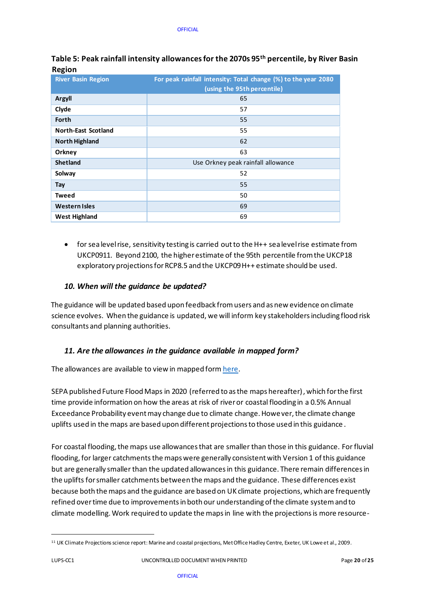| 155011                     |                                                                |
|----------------------------|----------------------------------------------------------------|
| <b>River Basin Region</b>  | For peak rainfall intensity: Total change (%) to the year 2080 |
|                            | (using the 95th percentile)                                    |
| <b>Argyll</b>              | 65                                                             |
| Clyde                      | 57                                                             |
| Forth                      | 55                                                             |
| <b>North-East Scotland</b> | 55                                                             |
| <b>North Highland</b>      | 62                                                             |
| Orkney                     | 63                                                             |
| <b>Shetland</b>            | Use Orkney peak rainfall allowance                             |
| Solway                     | 52                                                             |
| Tay                        | 55                                                             |
| <b>Tweed</b>               | 50                                                             |
| <b>Western Isles</b>       | 69                                                             |
| <b>West Highland</b>       | 69                                                             |

<span id="page-19-0"></span>**Table 5: Peak rainfall intensity allowances for the 2070s 95th percentile, by River Basin Region** 

• for sea level rise, sensitivity testing is carried out to the H++ sea level rise estimate from UKCP0911. Beyond 2100, the higher estimate of the 95th percentile from the UKCP18 exploratory projections for RCP8.5 and the UKCP09 H++ estimate should be used.

### *10. When will the guidance be updated?*

The guidance will be updated based upon feedback from users and as new evidence on climate science evolves. When the guidance is updated, we will inform key stakeholders including flood risk consultants and planning authorities.

### *11. Are the allowances in the guidance available in mapped form?*

The allowances are available to view in mapped for[m here.](https://scottishepa.maps.arcgis.com/apps/webappviewer/index.html?id=2ddf84e295334f6b93bd0dbbb9ad7417)

SEPA published Future Flood Maps in 2020 (referred to as the maps hereafter), which for the first time provide information on how the areas at risk of river or coastal flooding in a 0.5% Annual Exceedance Probability event may change due to climate change. However, the climate change uplifts used in the maps are based upon different projections to those used in this guidance .

For coastal flooding, the maps use allowances that are smaller than those in this guidance. For fluvial flooding, for larger catchments the maps were generally consistent with Version 1 of this guidance but are generally smaller than the updated allowances in this guidance. There remain differences in the uplifts for smaller catchments between the maps and the guidance. These differences exist because both the maps and the guidance are based on UK climate projections, which are frequently refined over time due to improvements in both our understanding of the climate system and to climate modelling. Work required to update the maps in line with the projections is more resource-

<sup>&</sup>lt;sup>11</sup> UK Climate Projections science report: Marine and coastal projections, Met Office Hadley Centre, Exeter, UK Lowe et al., 2009.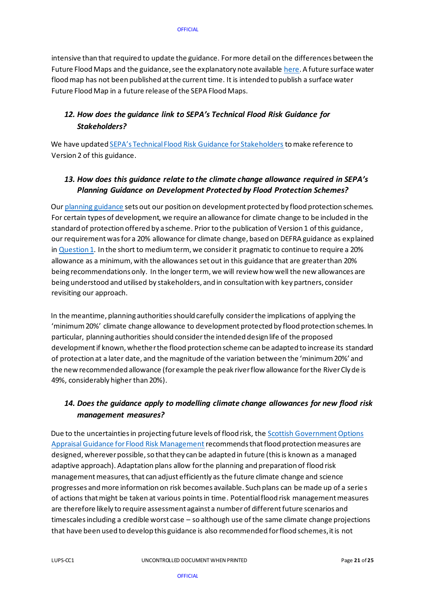intensive than that required to update the guidance. For more detail on the differences between the Future Flood Maps and the guidance, see the explanatory note availabl[e here.](https://www.sepa.org.uk/media/534707/explanatory-note.pdf) A future surface water flood map has not been published at the current time. It is intended to publish a surface water Future Flood Map in a future release of the SEPA Flood Maps.

# *12. How does the guidance link to SEPA's Technical Flood Risk Guidance fo[r](https://www.sepa.org.uk/media/162602/ss-nfr-p-002-technical-flood-risk-guidance-for-stakeholders.pdf) [Stakeholders?](https://www.sepa.org.uk/media/162602/ss-nfr-p-002-technical-flood-risk-guidance-for-stakeholders.pdf)*

We have updated [SEPA's Technical Flood Risk Guidance for Stakeholders](https://www.sepa.org.uk/media/162602/ss-nfr-p-002-technical-flood-risk-guidance-for-stakeholders.pdf) to make reference to Version 2 of this guidance.

### *13. How does this guidance relate to the climate change allowance require[d](https://www.sepa.org.uk/media/162837/lups-bp-gu2a-land-use-planning-background-paper-on-flood-risk.pdf) in SEPA'[s](https://www.sepa.org.uk/media/162837/lups-bp-gu2a-land-use-planning-background-paper-on-flood-risk.pdf) Planning Guidance on Development Protected by Flood Protectio[n](https://www.sepa.org.uk/media/162837/lups-bp-gu2a-land-use-planning-background-paper-on-flood-risk.pdf) [Schemes?](https://www.sepa.org.uk/media/162837/lups-bp-gu2a-land-use-planning-background-paper-on-flood-risk.pdf)*

Ou[r planning guidance](https://www.sepa.org.uk/media/162837/lups-bp-gu2a-land-use-planning-background-paper-on-flood-risk.pdf) sets out our position on development protected by flood protection schemes. For certain types of development, we require an allowance for climate change to be included in the standard of protection offered by a scheme. Prior to the publication of Version 1 of this guidance, our requirement wasfor a 20% allowance for climate change, based on DEFRA guidance as explained i[n Question 1.](#page-13-1) In the short to medium term, we consider it pragmatic to continue to require a 20% allowance as a minimum, with the allowances set out in this guidance that are greater than 20% being recommendations only. In the longer term, we will review how well the new allowances are being understood and utilised by stakeholders, and in consultation with key partners, consider revisiting our approach.

In the meantime, planning authorities should carefully consider the implications of applying the 'minimum 20%' climate change allowance to development protected by flood protection schemes. In particular, planning authorities should consider the intended design life of the proposed development if known, whether the flood protection scheme can be adapted to increase its standard of protection at a later date, and the magnitude of the variation between the 'minimum 20%' and the new recommended allowance (for example the peak river flow allowance for the River Clyde is 49%, considerably higher than 20%).

# *14. Does the guidance apply to modelling climate change allowances for new flood risk management measures?*

Due to the uncertainties in projecting future levels of flood risk, the Scottish Government Options [Appraisal Guidance for Flood Risk Management](https://www.gov.scot/publications/guidance-support-sepa-responsible-authorities/) recommends that flood protection measures are designed, wherever possible, so that they can be adapted in future (this is known as a managed adaptive approach). Adaptation plans allow for the planning and preparation of flood risk management measures, that can adjust efficiently as the future climate change and science progresses and more information on risk becomes available. Such plans can be made up of a serie s of actions that might be taken at various points in time. Potential flood risk management measures are therefore likely to require assessment against a number of different future scenarios and timescales including a credible worst case – so although use of the same climate change projections that have been used to develop this guidance is also recommended for flood schemes, it is not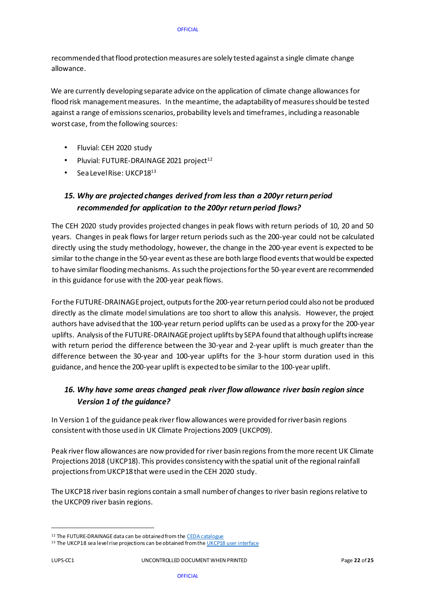recommended that flood protection measures are solely tested against a single climate change allowance.

We are currently developing separate advice on the application of climate change allowances for flood risk management measures. In the meantime, the adaptability of measures should be tested against a range of emissions scenarios, probability levels and timeframes, including a reasonable worst case, from the following sources:

- Fluvial: CEH 2020 study
- Pluvial: FUTURE-DRAINAGE 2021 project $12$
- Sea Level Rise: UKCP18<sup>13</sup>

# *15. Why are projected changes derived from less than a 200yr return period recommended for application to the 200yr return period flows?*

The CEH 2020 study provides projected changes in peak flows with return periods of 10, 20 and 50 years. Changes in peak flows for larger return periods such as the 200-year could not be calculated directly using the study methodology, however, the change in the 200-year event is expected to be similar to the change in the 50-year event as these are both large flood events thatwould be expected to have similar flooding mechanisms. As such the projections for the 50-yearevent are recommended in this guidance for use with the 200-year peak flows.

For the FUTURE-DRAINAGE project, outputs for the 200-year return period could also not be produced directly as the climate model simulations are too short to allow this analysis. However, the project authors have advised that the 100-year return period uplifts can be used as a proxy for the 200-year uplifts. Analysis of the FUTURE-DRAINAGE project uplifts by SEPA found that although uplifts increase with return period the difference between the 30-year and 2-year uplift is much greater than the difference between the 30-year and 100-year uplifts for the 3-hour storm duration used in this guidance, and hence the 200-year uplift is expected to be similar to the 100-year uplift.

# *16. Why have some areas changed peak river flow allowance river basin region since Version 1 of the guidance?*

In Version 1 of the guidance peak river flow allowances were provided for river basin regions consistent with those used in UK Climate Projections 2009 (UKCP09).

Peak river flow allowances are now provided for river basin regions from the more recent UK Climate Projections 2018 (UKCP18). This provides consistency with the spatial unit of the regional rainfall projections from UKCP18 that were used in the CEH 2020 study.

The UKCP18 river basin regions contain a small number of changes to river basin regionsrelative to the UKCP09 river basin regions.

<sup>&</sup>lt;sup>12</sup> The FUTURE-DRAINAGE data can be obtained from t[he CEDA catalogue](https://catalogue.ceda.ac.uk/uuid/5f5f16cf7373468f802fa763c9a9c832)

<sup>&</sup>lt;sup>13</sup> The UKCP18 sea level rise projections can be obtained from th[e UKCP18 user interface](https://ukclimateprojections-ui.metoffice.gov.uk/ui/home)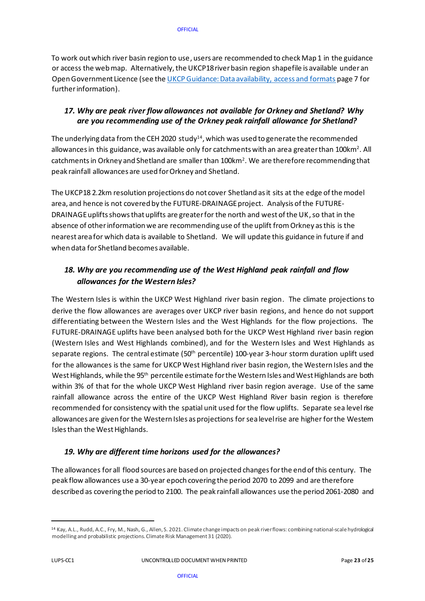To work out which river basin region to use, users are recommended to check Map 1 in the guidance or access the web ma[p.](https://sepaweb.maps.arcgis.com/apps/webappviewer/index.html?id=a01f82dbc66145f4a4b558d7b840f51a&extent=-2086266.4068%2C6926044.231%2C1044594.2717%2C9056497.0833%2C102100) Alternatively, the UKCP18 river basin region shapefile is available under an Open Government Licence (see th[e UKCP Guidance: Data availability, access and formats](https://www.metoffice.gov.uk/binaries/content/assets/metofficegovuk/pdf/research/ukcp/ukcp18_data_availability_jul-2021.pdf) page 7 for further information).

### *17. Why are peak river flow allowances not available for Orkney and Shetland? Why are you recommending use of the Orkney peak rainfall allowance for Shetland?*

The underlying data from the CEH 2020  $\,\mathrm{study^{14}}$ , which was used to generate the recommended allowances in this guidance, was available only for catchments with an area greater than 100km $^{\text{2}}$ . All catchments in Orkney and Shetland are smaller than 100km $^{\text{2}}$ . We are therefore recommending that peak rainfall allowances are used for Orkney and Shetland.

The UKCP18 2.2km resolution projections do not cover Shetland as it sits at the edge of the model area, and hence is not covered by the FUTURE-DRAINAGE project. Analysis of the FUTURE-DRAINAGE uplifts shows that uplifts are greater for the north and west of the UK, so that in the absence of other information we are recommending use of the uplift from Orkney as this is the nearest area for which data is available to Shetland. We will update this guidance in future if and when data for Shetland becomes available.

# *18. Why are you recommending use of the West Highland peak rainfall and flow allowances for the Western Isles?*

The Western Isles is within the UKCP West Highland river basin region. The climate projections to derive the flow allowances are averages over UKCP river basin regions, and hence do not support differentiating between the Western Isles and the West Highlands for the flow projections. The FUTURE-DRAINAGE uplifts have been analysed both for the UKCP West Highland river basin region (Western Isles and West Highlands combined), and for the Western Isles and West Highlands as separate regions. The central estimate (50th percentile) 100-year 3-hour storm duration uplift used for the allowances is the same for UKCP West Highland river basin region, the Western Isles and the West Highlands, while the 95<sup>th</sup> percentile estimate for the Western Isles and West Highlands are both within 3% of that for the whole UKCP West Highland river basin region average. Use of the same rainfall allowance across the entire of the UKCP West Highland River basin region is therefore recommended for consistency with the spatial unit used for the flow uplifts. Separate sea level rise allowances are given for the Western Isles as projections for sea level rise are higher for the Western Isles than the West Highlands.

### *19. Why are different time horizons used for the allowances?*

The allowances for all flood sources are based on projected changes for the end of this century. The peak flow allowances use a 30-year epoch covering the period 2070 to 2099 and are therefore described as covering the period to 2100. The peak rainfall allowances use the period 2061-2080 and

<sup>14</sup> Kay, A.L., Rudd, A.C., Fry, M., Nash, G., Allen, S. 2021. Climate change impacts on peak river flows: combining national-scale hydrological modelling and probabilistic projections. Climate Risk Management 31 (2020).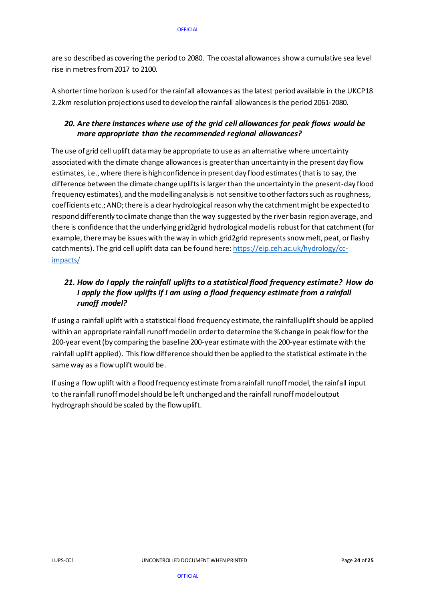are so described as covering the period to 2080. The coastal allowances show a cumulative sea level rise in metres from 2017 to 2100.

A shorter time horizon is used for the rainfall allowances as the latest period available in the UKCP18 2.2km resolution projections used to develop the rainfall allowances is the period 2061-2080.

### <span id="page-23-1"></span>*20. Are there instances where use of the grid cell allowances for peak flows would be more appropriate than the recommended regional allowances?*

The use of grid cell uplift data may be appropriate to use as an alternative where uncertainty associated with the climate change allowances is greater than uncertainty in the present day flow estimates, i.e., where there is high confidence in present day flood estimates (that is to say, the difference between the climate change uplifts is larger than the uncertainty in the present-day flood frequency estimates), and the modelling analysis is not sensitive to other factors such as roughness, coefficients etc.; AND; there is a clear hydrological reason why the catchment might be expected to respond differently to climate change than the way suggested by the river basin region average, and there is confidence that the underlying grid2grid hydrological model is robust for that catchment (for example, there may be issues with the way in which grid2grid represents snow melt, peat, or flashy catchments). The grid cell uplift data can be found here[: https://eip.ceh.ac.uk/hydrology/cc](https://eur01.safelinks.protection.outlook.com/?url=https%3A%2F%2Feip.ceh.ac.uk%2Fhydrology%2Fcc-impacts%2F&data=04%7C01%7Cfiona.mclay%40sepa.org.uk%7Caa0fa639ed8447853d3408da011011ee%7C5cf26d65cf464c72ba827577d9c2d7ab%7C0%7C0%7C637823465806848415%7CUnknown%7CTWFpbGZsb3d8eyJWIjoiMC4wLjAwMDAiLCJQIjoiV2luMzIiLCJBTiI6Ik1haWwiLCJXVCI6Mn0%3D%7C3000&sdata=YILDM%2BYO1MyE%2BSaNsBM%2BJfRJavZCAbnKKmhLro2L%2BRg%3D&reserved=0)[impacts/](https://eur01.safelinks.protection.outlook.com/?url=https%3A%2F%2Feip.ceh.ac.uk%2Fhydrology%2Fcc-impacts%2F&data=04%7C01%7Cfiona.mclay%40sepa.org.uk%7Caa0fa639ed8447853d3408da011011ee%7C5cf26d65cf464c72ba827577d9c2d7ab%7C0%7C0%7C637823465806848415%7CUnknown%7CTWFpbGZsb3d8eyJWIjoiMC4wLjAwMDAiLCJQIjoiV2luMzIiLCJBTiI6Ik1haWwiLCJXVCI6Mn0%3D%7C3000&sdata=YILDM%2BYO1MyE%2BSaNsBM%2BJfRJavZCAbnKKmhLro2L%2BRg%3D&reserved=0)

# <span id="page-23-0"></span>*21. How do I apply the rainfall uplifts to a statistical flood frequency estimate? How do I apply the flow uplifts if I am using a flood frequency estimate from a rainfall runoff model?*

If using a rainfall uplift with a statistical flood frequency estimate, the rainfall uplift should be applied within an appropriate rainfall runoff model in order to determine the % change in peak flow for the 200-year event (by comparing the baseline 200-year estimate with the 200-year estimate with the rainfall uplift applied). This flow difference should then be applied to the statistical estimate in the same way as a flow uplift would be.

If using a flow uplift with a flood frequency estimate from a rainfall runoff model, the rainfall input to the rainfall runoff model should be left unchanged and the rainfall runoff model output hydrograph should be scaled by the flow uplift.